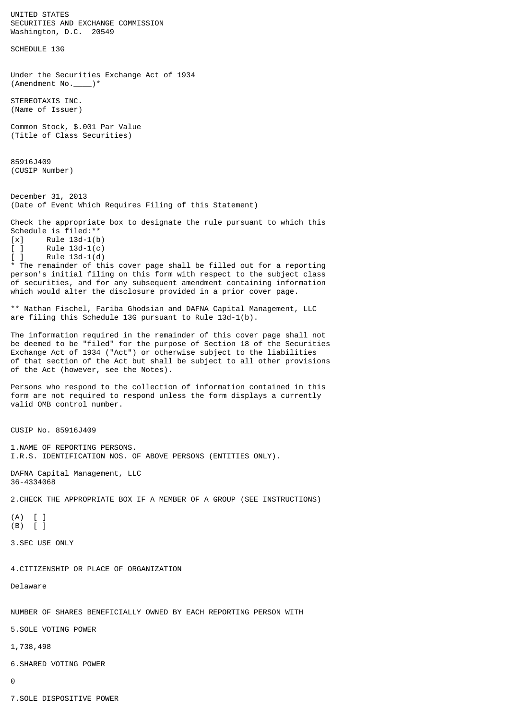UNITED STATES SECURITIES AND EXCHANGE COMMISSION Washington, D.C. 20549 SCHEDULE 13G Under the Securities Exchange Act of 1934 (Amendment No.\_\_\_\_)\* STEREOTAXIS INC. (Name of Issuer) Common Stock, \$.001 Par Value (Title of Class Securities) 85916J409 (CUSIP Number) December 31, 2013 (Date of Event Which Requires Filing of this Statement) Check the appropriate box to designate the rule pursuant to which this Schedule is filed:\*\*  $[x]$  Rule 13d-1(b)<br> $[ ]$  Rule 13d-1(c)  $[ ]$  Rule 13d-1(c)  $[ ]$  Rule 13d-1(d) \* The remainder of this cover page shall be filled out for a reporting person's initial filing on this form with respect to the subject class of securities, and for any subsequent amendment containing information which would alter the disclosure provided in a prior cover page. \*\* Nathan Fischel, Fariba Ghodsian and DAFNA Capital Management, LLC are filing this Schedule 13G pursuant to Rule 13d-1(b). The information required in the remainder of this cover page shall not be deemed to be "filed" for the purpose of Section 18 of the Securities Exchange Act of 1934 ("Act") or otherwise subject to the liabilities of that section of the Act but shall be subject to all other provisions of the Act (however, see the Notes). Persons who respond to the collection of information contained in this form are not required to respond unless the form displays a currently valid OMB control number. CUSIP No. 85916J409 1.NAME OF REPORTING PERSONS. I.R.S. IDENTIFICATION NOS. OF ABOVE PERSONS (ENTITIES ONLY). DAFNA Capital Management, LLC 36-4334068 2.CHECK THE APPROPRIATE BOX IF A MEMBER OF A GROUP (SEE INSTRUCTIONS) (A) [ ] (B) [ ] 3.SEC USE ONLY 4.CITIZENSHIP OR PLACE OF ORGANIZATION Delaware NUMBER OF SHARES BENEFICIALLY OWNED BY EACH REPORTING PERSON WITH 5.SOLE VOTING POWER 1,738,498 6.SHARED VOTING POWER 0

7.SOLE DISPOSITIVE POWER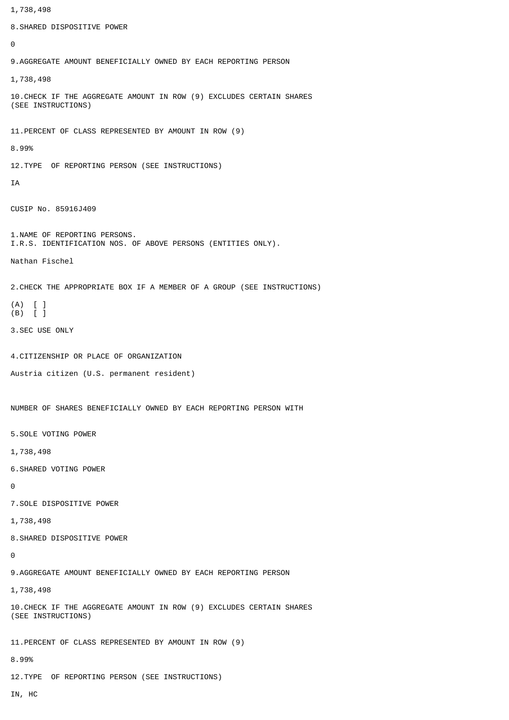1,738,498 8.SHARED DISPOSITIVE POWER  $\Omega$ 9.AGGREGATE AMOUNT BENEFICIALLY OWNED BY EACH REPORTING PERSON 1,738,498 10.CHECK IF THE AGGREGATE AMOUNT IN ROW (9) EXCLUDES CERTAIN SHARES (SEE INSTRUCTIONS) 11.PERCENT OF CLASS REPRESENTED BY AMOUNT IN ROW (9) 8.99% 12.TYPE OF REPORTING PERSON (SEE INSTRUCTIONS) IA CUSIP No. 85916J409 1.NAME OF REPORTING PERSONS. I.R.S. IDENTIFICATION NOS. OF ABOVE PERSONS (ENTITIES ONLY). Nathan Fischel 2.CHECK THE APPROPRIATE BOX IF A MEMBER OF A GROUP (SEE INSTRUCTIONS) (A) [ ] (B) [ ] 3.SEC USE ONLY 4.CITIZENSHIP OR PLACE OF ORGANIZATION Austria citizen (U.S. permanent resident) NUMBER OF SHARES BENEFICIALLY OWNED BY EACH REPORTING PERSON WITH 5.SOLE VOTING POWER 1,738,498 6.SHARED VOTING POWER  $\Omega$ 7.SOLE DISPOSITIVE POWER 1,738,498 8.SHARED DISPOSITIVE POWER  $\Omega$ 9.AGGREGATE AMOUNT BENEFICIALLY OWNED BY EACH REPORTING PERSON 1,738,498 10.CHECK IF THE AGGREGATE AMOUNT IN ROW (9) EXCLUDES CERTAIN SHARES (SEE INSTRUCTIONS) 11.PERCENT OF CLASS REPRESENTED BY AMOUNT IN ROW (9) 8.99% 12.TYPE OF REPORTING PERSON (SEE INSTRUCTIONS) IN, HC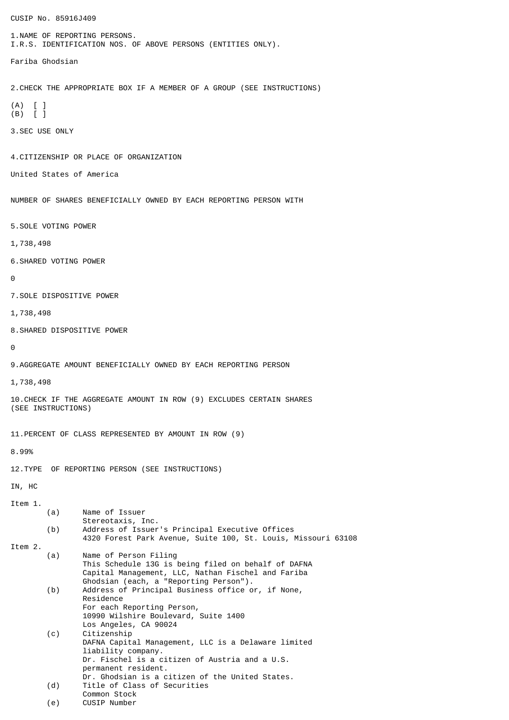CUSIP No. 85916J409 1.NAME OF REPORTING PERSONS. I.R.S. IDENTIFICATION NOS. OF ABOVE PERSONS (ENTITIES ONLY). Fariba Ghodsian 2.CHECK THE APPROPRIATE BOX IF A MEMBER OF A GROUP (SEE INSTRUCTIONS) (A) [ ] (B) [ ] 3.SEC USE ONLY 4.CITIZENSHIP OR PLACE OF ORGANIZATION United States of America NUMBER OF SHARES BENEFICIALLY OWNED BY EACH REPORTING PERSON WITH 5.SOLE VOTING POWER 1,738,498 6.SHARED VOTING POWER  $\Omega$ 7.SOLE DISPOSITIVE POWER 1,738,498 8.SHARED DISPOSITIVE POWER  $\boldsymbol{\Theta}$ 9.AGGREGATE AMOUNT BENEFICIALLY OWNED BY EACH REPORTING PERSON 1,738,498 10.CHECK IF THE AGGREGATE AMOUNT IN ROW (9) EXCLUDES CERTAIN SHARES (SEE INSTRUCTIONS) 11.PERCENT OF CLASS REPRESENTED BY AMOUNT IN ROW (9) 8.99% 12.TYPE OF REPORTING PERSON (SEE INSTRUCTIONS) IN, HC Item 1. (a) Name of Issuer Stereotaxis, Inc. (b) Address of Issuer's Principal Executive Offices 4320 Forest Park Avenue, Suite 100, St. Louis, Missouri 63108 Item 2. (a) Name of Person Filing This Schedule 13G is being filed on behalf of DAFNA Capital Management, LLC, Nathan Fischel and Fariba Ghodsian (each, a "Reporting Person"). (b) Address of Principal Business office or, if None, Residence For each Reporting Person, 10990 Wilshire Boulevard, Suite 1400 Los Angeles, CA 90024 (c) Citizenship DAFNA Capital Management, LLC is a Delaware limited liability company. Dr. Fischel is a citizen of Austria and a U.S. permanent resident. Dr. Ghodsian is a citizen of the United States. (d) Title of Class of Securities Common Stock (e) CUSIP Number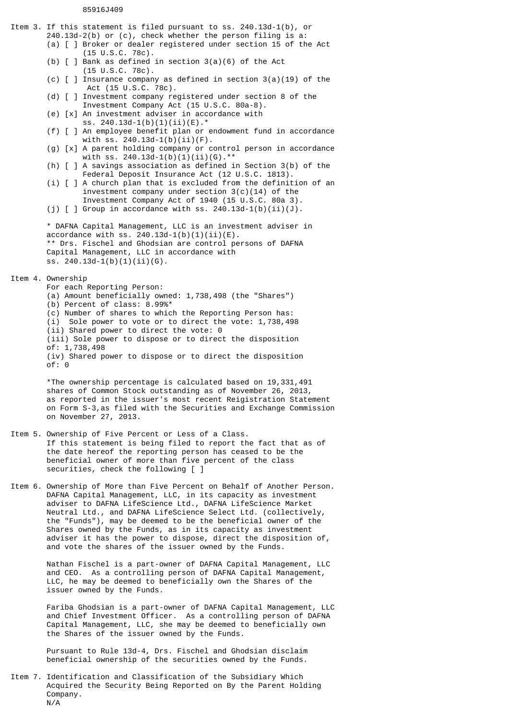## 85916J409

Item 3. If this statement is filed pursuant to ss. 240.13d-1(b), or 240.13d-2(b) or (c), check whether the person filing is a: (a) [ ] Broker or dealer registered under section 15 of the Act (15 U.S.C. 78c). (b)  $\lceil$   $\rceil$  Bank as defined in section 3(a)(6) of the Act (15 U.S.C. 78c). (c)  $\lceil$   $\rceil$  Insurance company as defined in section 3(a)(19) of the Act (15 U.S.C. 78c). (d) [ ] Investment company registered under section 8 of the Investment Company Act (15 U.S.C. 80a-8). (e) [x] An investment adviser in accordance with ss. 240.13d-1(b)(1)(ii)(E).\* (f) [ ] An employee benefit plan or endowment fund in accordance with ss. 240.13d-1(b)(ii)(F). (g) [x] A parent holding company or control person in accordance with ss. 240.13d-1(b)(1)(ii)(G).\*\* (h) [ ] A savings association as defined in Section 3(b) of the Federal Deposit Insurance Act (12 U.S.C. 1813). (i) [ ] A church plan that is excluded from the definition of an investment company under section 3(c)(14) of the Investment Company Act of 1940 (15 U.S.C. 80a 3). (j)  $[ ]$  Group in accordance with ss. 240.13d-1(b)(ii)(J). \* DAFNA Capital Management, LLC is an investment adviser in accordance with ss. 240.13d-1(b)(1)(ii)(E). \*\* Drs. Fischel and Ghodsian are control persons of DAFNA Capital Management, LLC in accordance with ss. 240.13d-1(b)(1)(ii)(G). Item 4. Ownership For each Reporting Person: (a) Amount beneficially owned: 1,738,498 (the "Shares") (b) Percent of class: 8.99%\* (c) Number of shares to which the Reporting Person has: (i) Sole power to vote or to direct the vote: 1,738,498 (ii) Shared power to direct the vote: 0 (iii) Sole power to dispose or to direct the disposition of: 1,738,498 (iv) Shared power to dispose or to direct the disposition of: 0 \*The ownership percentage is calculated based on 19,331,491 shares of Common Stock outstanding as of November 26, 2013, as reported in the issuer's most recent Reigistration Statement on Form S-3,as filed with the Securities and Exchange Commission on November 27, 2013. Item 5. Ownership of Five Percent or Less of a Class. If this statement is being filed to report the fact that as of the date hereof the reporting person has ceased to be the beneficial owner of more than five percent of the class securities, check the following [ ] Item 6. Ownership of More than Five Percent on Behalf of Another Person. DAFNA Capital Management, LLC, in its capacity as investment adviser to DAFNA LifeScience Ltd., DAFNA LifeScience Market Neutral Ltd., and DAFNA LifeScience Select Ltd. (collectively, the "Funds"), may be deemed to be the beneficial owner of the Shares owned by the Funds, as in its capacity as investment adviser it has the power to dispose, direct the disposition of, and vote the shares of the issuer owned by the Funds. Nathan Fischel is a part-owner of DAFNA Capital Management, LLC and CEO. As a controlling person of DAFNA Capital Management, LLC, he may be deemed to beneficially own the Shares of the issuer owned by the Funds.

> Fariba Ghodsian is a part-owner of DAFNA Capital Management, LLC and Chief Investment Officer. As a controlling person of DAFNA Capital Management, LLC, she may be deemed to beneficially own the Shares of the issuer owned by the Funds.

Pursuant to Rule 13d-4, Drs. Fischel and Ghodsian disclaim beneficial ownership of the securities owned by the Funds.

Item 7. Identification and Classification of the Subsidiary Which Acquired the Security Being Reported on By the Parent Holding Company. N/A